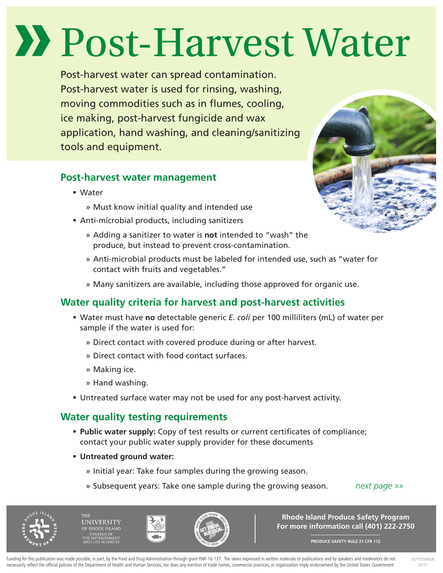# Post-Harvest Water

Post-harvest water can spread contamination. Post-harvest water is used for rinsing, washing, moving commodities such as in flumes, cooling, ice making, post-harvest fungicide and wax application, hand washing, and cleaning/sanitizing tools and equipment.

## **Post-harvest water management**

- Water
	- » Must know initial quality and intended use
- Anti-microbial products, including sanitizers
	- » Adding a sanitizer to water is **not** intended to "wash" the produce, but instead to prevent cross-contamination.
	- » Anti-microbial products must be labeled for intended use, such as "water for contact with fruits and vegetables."
	- » Many sanitizers are available, including those approved for organic use.

# **Water quality criteria for harvest and post-harvest activities**

- Water must have **no** detectable generic *E. coli* per 100 milliliters (mL) of water per sample if the water is used for:
	- » Direct contact with covered produce during or after harvest.
	- » Direct contact with food contact surfaces.
	- » Making ice.
	- » Hand washing.
- Untreated surface water may not be used for any post-harvest activity.

## **Water quality testing requirements**

- **Public water supply:** Copy of test results or current certificates of compliance; contact your public water supply provider for these documents
- **Untreated ground water:** 
	- » Initial year: Take four samples during the growing season.
	- » Subsequent years: Take one sample during the growing season. *next page »»*



**SEPTEMBER 2017**







**Rhode Island Produce Safety Program For more information call (401) 222-2750**

**PRODUCE SAFETY RULE 21 CFR 112**